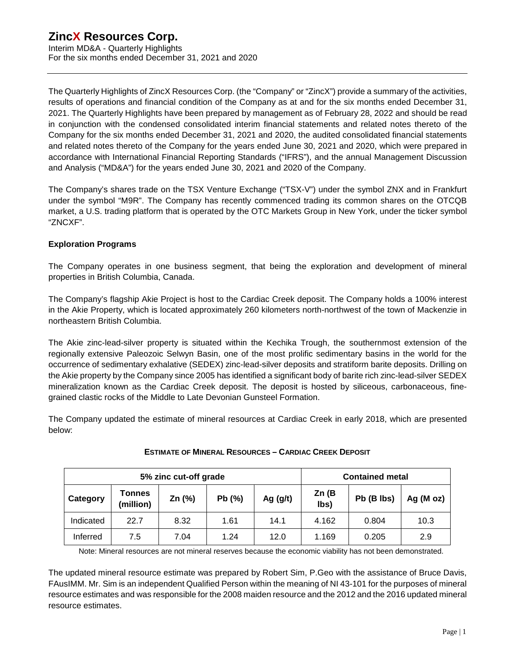Interim MD&A - Quarterly Highlights For the six months ended December 31, 2021 and 2020

The Quarterly Highlights of ZincX Resources Corp. (the "Company" or "ZincX") provide a summary of the activities, results of operations and financial condition of the Company as at and for the six months ended December 31, 2021. The Quarterly Highlights have been prepared by management as of February 28, 2022 and should be read in conjunction with the condensed consolidated interim financial statements and related notes thereto of the Company for the six months ended December 31, 2021 and 2020, the audited consolidated financial statements and related notes thereto of the Company for the years ended June 30, 2021 and 2020, which were prepared in accordance with International Financial Reporting Standards ("IFRS"), and the annual Management Discussion and Analysis ("MD&A") for the years ended June 30, 2021 and 2020 of the Company.

The Company's shares trade on the TSX Venture Exchange ("TSX-V") under the symbol ZNX and in Frankfurt under the symbol "M9R". The Company has recently commenced trading its common shares on the OTCQB market, a U.S. trading platform that is operated by the OTC Markets Group in New York, under the ticker symbol "ZNCXF".

# **Exploration Programs**

The Company operates in one business segment, that being the exploration and development of mineral properties in British Columbia, Canada.

The Company's flagship Akie Project is host to the Cardiac Creek deposit. The Company holds a 100% interest in the Akie Property, which is located approximately 260 kilometers north-northwest of the town of Mackenzie in northeastern British Columbia.

The Akie zinc-lead-silver property is situated within the Kechika Trough, the southernmost extension of the regionally extensive Paleozoic Selwyn Basin, one of the most prolific sedimentary basins in the world for the occurrence of sedimentary exhalative (SEDEX) zinc-lead-silver deposits and stratiform barite deposits. Drilling on the Akie property by the Company since 2005 has identified a significant body of barite rich zinc-lead-silver SEDEX mineralization known as the Cardiac Creek deposit. The deposit is hosted by siliceous, carbonaceous, finegrained clastic rocks of the Middle to Late Devonian Gunsteel Formation.

The Company updated the estimate of mineral resources at Cardiac Creek in early 2018, which are presented below:

| 5% zinc cut-off grade |                            |          |       |            |               | <b>Contained metal</b> |              |
|-----------------------|----------------------------|----------|-------|------------|---------------|------------------------|--------------|
| Category              | <b>Tonnes</b><br>(million) | Zn $(%)$ | Pb(%) | Ag $(g/t)$ | Zn(B)<br>lbs) | Pb (B lbs)             | Ag ( $M$ oz) |
| Indicated             | 22.7                       | 8.32     | 1.61  | 14.1       | 4.162         | 0.804                  | 10.3         |
| Inferred              | 7.5                        | 7.04     | 1.24  | 12.0       | 1.169         | 0.205                  | 2.9          |

# **ESTIMATE OF MINERAL RESOURCES – CARDIAC CREEK DEPOSIT**

Note: Mineral resources are not mineral reserves because the economic viability has not been demonstrated.

The updated mineral resource estimate was prepared by Robert Sim, P.Geo with the assistance of Bruce Davis, FAusIMM. Mr. Sim is an independent Qualified Person within the meaning of NI 43-101 for the purposes of mineral resource estimates and was responsible for the 2008 maiden resource and the 2012 and the 2016 updated mineral resource estimates.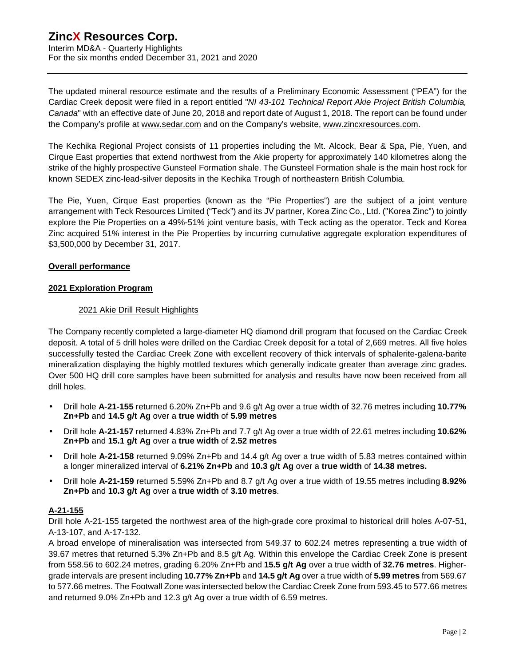Interim MD&A - Quarterly Highlights For the six months ended December 31, 2021 and 2020

The updated mineral resource estimate and the results of a Preliminary Economic Assessment ("PEA") for the Cardiac Creek deposit were filed in a report entitled "*NI 43-101 Technical Report Akie Project British Columbia, Canada*" with an effective date of June 20, 2018 and report date of August 1, 2018. The report can be found under the Company's profile at [www.sedar.com](http://www.sedar.com) and on the Company's website, [www.zincxresources.com](http://www.zincxresources.com).

The Kechika Regional Project consists of 11 properties including the Mt. Alcock, Bear & Spa, Pie, Yuen, and Cirque East properties that extend northwest from the Akie property for approximately 140 kilometres along the strike of the highly prospective Gunsteel Formation shale. The Gunsteel Formation shale is the main host rock for known SEDEX zinc-lead-silver deposits in the Kechika Trough of northeastern British Columbia.

The Pie, Yuen, Cirque East properties (known as the "Pie Properties") are the subject of a joint venture arrangement with Teck Resources Limited ("Teck") and its JV partner, Korea Zinc Co., Ltd. ("Korea Zinc") to jointly explore the Pie Properties on a 49%-51% joint venture basis, with Teck acting as the operator. Teck and Korea Zinc acquired 51% interest in the Pie Properties by incurring cumulative aggregate exploration expenditures of \$3,500,000 by December 31, 2017.

### **Overall performance**

#### **2021 Exploration Program**

### 2021 Akie Drill Result Highlights

The Company recently completed a large-diameter HQ diamond drill program that focused on the Cardiac Creek deposit. A total of 5 drill holes were drilled on the Cardiac Creek deposit for a total of 2,669 metres. All five holes successfully tested the Cardiac Creek Zone with excellent recovery of thick intervals of sphalerite-galena-barite mineralization displaying the highly mottled textures which generally indicate greater than average zinc grades. Over 500 HQ drill core samples have been submitted for analysis and results have now been received from all drill holes.

- Drill hole **A-21-155** returned 6.20% Zn+Pb and 9.6 g/t Ag over a true width of 32.76 metres including **10.77% Zn+Pb** and **14.5 g/t Ag** over a **true width** of **5.99 metres**
- Drill hole **A-21-157** returned 4.83% Zn+Pb and 7.7 g/t Ag over a true width of 22.61 metres including **10.62% Zn+Pb** and **15.1 g/t Ag** over a **true width** of **2.52 metres**
- Drill hole **A-21-158** returned 9.09% Zn+Pb and 14.4 g/t Ag over a true width of 5.83 metres contained within a longer mineralized interval of **6.21% Zn+Pb** and **10.3 g/t Ag** over a **true width** of **14.38 metres.**
- Drill hole **A-21-159** returned 5.59% Zn+Pb and 8.7 g/t Ag over a true width of 19.55 metres including **8.92% Zn+Pb** and **10.3 g/t Ag** over a **true width** of **3.10 metres**.

# **A-21-155**

Drill hole A-21-155 targeted the northwest area of the high-grade core proximal to historical drill holes A-07-51, A-13-107, and A-17-132.

A broad envelope of mineralisation was intersected from 549.37 to 602.24 metres representing a true width of 39.67 metres that returned 5.3% Zn+Pb and 8.5 g/t Ag. Within this envelope the Cardiac Creek Zone is present from 558.56 to 602.24 metres, grading 6.20% Zn+Pb and **15.5 g/t Ag** over a true width of **32.76 metres**. Highergrade intervals are present including **10.77% Zn+Pb** and **14.5 g/t Ag** over a true width of **5.99 metres** from 569.67 to 577.66 metres. The Footwall Zone was intersected below the Cardiac Creek Zone from 593.45 to 577.66 metres and returned 9.0% Zn+Pb and 12.3 g/t Ag over a true width of 6.59 metres.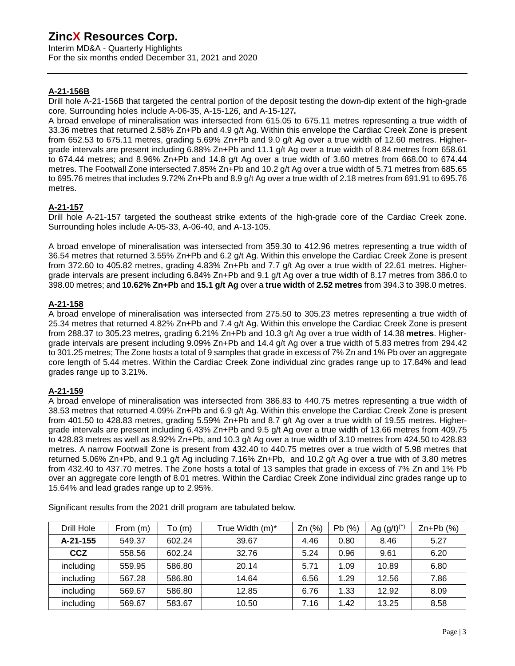Interim MD&A - Quarterly Highlights For the six months ended December 31, 2021 and 2020

# **A-21-156B**

Drill hole A-21-156B that targeted the central portion of the deposit testing the down-dip extent of the high-grade core. Surrounding holes include A-06-35, A-15-126, and A-15-127**.** 

A broad envelope of mineralisation was intersected from 615.05 to 675.11 metres representing a true width of 33.36 metres that returned 2.58% Zn+Pb and 4.9 g/t Ag. Within this envelope the Cardiac Creek Zone is present from 652.53 to 675.11 metres, grading 5.69% Zn+Pb and 9.0 g/t Ag over a true width of 12.60 metres. Highergrade intervals are present including 6.88% Zn+Pb and 11.1 g/t Ag over a true width of 8.84 metres from 658.61 to 674.44 metres; and 8.96% Zn+Pb and 14.8 g/t Ag over a true width of 3.60 metres from 668.00 to 674.44 metres. The Footwall Zone intersected 7.85% Zn+Pb and 10.2 g/t Ag over a true width of 5.71 metres from 685.65 to 695.76 metres that includes 9.72% Zn+Pb and 8.9 g/t Ag over a true width of 2.18 metres from 691.91 to 695.76 metres.

#### **A-21-157**

Drill hole A-21-157 targeted the southeast strike extents of the high-grade core of the Cardiac Creek zone. Surrounding holes include A-05-33, A-06-40, and A-13-105.

A broad envelope of mineralisation was intersected from 359.30 to 412.96 metres representing a true width of 36.54 metres that returned 3.55% Zn+Pb and 6.2 g/t Ag. Within this envelope the Cardiac Creek Zone is present from 372.60 to 405.82 metres, grading 4.83% Zn+Pb and 7.7 g/t Ag over a true width of 22.61 metres. Highergrade intervals are present including 6.84% Zn+Pb and 9.1 g/t Ag over a true width of 8.17 metres from 386.0 to 398.00 metres; and **10.62% Zn+Pb** and **15.1 g/t Ag** over a **true width** of **2.52 metres** from 394.3 to 398.0 metres.

#### **A-21-158**

A broad envelope of mineralisation was intersected from 275.50 to 305.23 metres representing a true width of 25.34 metres that returned 4.82% Zn+Pb and 7.4 g/t Ag. Within this envelope the Cardiac Creek Zone is present from 288.37 to 305.23 metres, grading 6.21% Zn+Pb and 10.3 g/t Ag over a true width of 14.38 **metres**. Highergrade intervals are present including 9.09% Zn+Pb and 14.4 g/t Ag over a true width of 5.83 metres from 294.42 to 301.25 metres; The Zone hosts a total of 9 samples that grade in excess of 7% Zn and 1% Pb over an aggregate core length of 5.44 metres. Within the Cardiac Creek Zone individual zinc grades range up to 17.84% and lead grades range up to 3.21%.

#### **A-21-159**

A broad envelope of mineralisation was intersected from 386.83 to 440.75 metres representing a true width of 38.53 metres that returned 4.09% Zn+Pb and 6.9 g/t Ag. Within this envelope the Cardiac Creek Zone is present from 401.50 to 428.83 metres, grading 5.59% Zn+Pb and 8.7 g/t Ag over a true width of 19.55 metres. Highergrade intervals are present including 6.43% Zn+Pb and 9.5 g/t Ag over a true width of 13.66 metres from 409.75 to 428.83 metres as well as 8.92% Zn+Pb, and 10.3 g/t Ag over a true width of 3.10 metres from 424.50 to 428.83 metres. A narrow Footwall Zone is present from 432.40 to 440.75 metres over a true width of 5.98 metres that returned 5.06% Zn+Pb, and 9.1 g/t Ag including 7.16% Zn+Pb, and 10.2 g/t Ag over a true with of 3.80 metres from 432.40 to 437.70 metres. The Zone hosts a total of 13 samples that grade in excess of 7% Zn and 1% Pb over an aggregate core length of 8.01 metres. Within the Cardiac Creek Zone individual zinc grades range up to 15.64% and lead grades range up to 2.95%.

| Drill Hole | From (m) | To (m) | True Width (m)* | Zn(%) | Pb(%) | Ag $(g/t)^{(+)}$ | $Zn+Pb$ (%) |
|------------|----------|--------|-----------------|-------|-------|------------------|-------------|
| A-21-155   | 549.37   | 602.24 | 39.67           | 4.46  | 0.80  | 8.46             | 5.27        |
| <b>CCZ</b> | 558.56   | 602.24 | 32.76           | 5.24  | 0.96  | 9.61             | 6.20        |
| including  | 559.95   | 586.80 | 20.14           | 5.71  | 1.09  | 10.89            | 6.80        |
| including  | 567.28   | 586.80 | 14.64           | 6.56  | 1.29  | 12.56            | 7.86        |
| including  | 569.67   | 586.80 | 12.85           | 6.76  | 1.33  | 12.92            | 8.09        |
| including  | 569.67   | 583.67 | 10.50           | 7.16  | 1.42  | 13.25            | 8.58        |

Significant results from the 2021 drill program are tabulated below.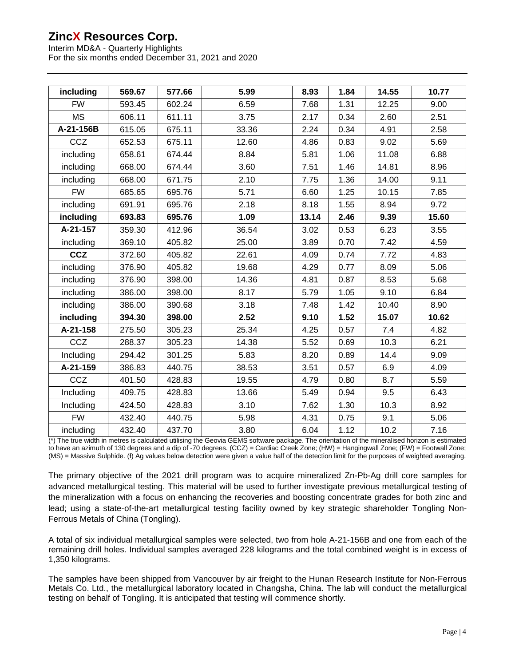Interim MD&A - Quarterly Highlights For the six months ended December 31, 2021 and 2020

| including  | 569.67 | 577.66 | 5.99  | 8.93  | 1.84 | 14.55 | 10.77 |
|------------|--------|--------|-------|-------|------|-------|-------|
| <b>FW</b>  | 593.45 | 602.24 | 6.59  | 7.68  | 1.31 | 12.25 | 9.00  |
| <b>MS</b>  | 606.11 | 611.11 | 3.75  | 2.17  | 0.34 | 2.60  | 2.51  |
| A-21-156B  | 615.05 | 675.11 | 33.36 | 2.24  | 0.34 | 4.91  | 2.58  |
| CCZ        | 652.53 | 675.11 | 12.60 | 4.86  | 0.83 | 9.02  | 5.69  |
| including  | 658.61 | 674.44 | 8.84  | 5.81  | 1.06 | 11.08 | 6.88  |
| including  | 668.00 | 674.44 | 3.60  | 7.51  | 1.46 | 14.81 | 8.96  |
| including  | 668.00 | 671.75 | 2.10  | 7.75  | 1.36 | 14.00 | 9.11  |
| <b>FW</b>  | 685.65 | 695.76 | 5.71  | 6.60  | 1.25 | 10.15 | 7.85  |
| including  | 691.91 | 695.76 | 2.18  | 8.18  | 1.55 | 8.94  | 9.72  |
| including  | 693.83 | 695.76 | 1.09  | 13.14 | 2.46 | 9.39  | 15.60 |
| A-21-157   | 359.30 | 412.96 | 36.54 | 3.02  | 0.53 | 6.23  | 3.55  |
| including  | 369.10 | 405.82 | 25.00 | 3.89  | 0.70 | 7.42  | 4.59  |
| <b>CCZ</b> | 372.60 | 405.82 | 22.61 | 4.09  | 0.74 | 7.72  | 4.83  |
| including  | 376.90 | 405.82 | 19.68 | 4.29  | 0.77 | 8.09  | 5.06  |
| including  | 376.90 | 398.00 | 14.36 | 4.81  | 0.87 | 8.53  | 5.68  |
| including  | 386.00 | 398.00 | 8.17  | 5.79  | 1.05 | 9.10  | 6.84  |
| including  | 386.00 | 390.68 | 3.18  | 7.48  | 1.42 | 10.40 | 8.90  |
| including  | 394.30 | 398.00 | 2.52  | 9.10  | 1.52 | 15.07 | 10.62 |
| A-21-158   | 275.50 | 305.23 | 25.34 | 4.25  | 0.57 | 7.4   | 4.82  |
| CCZ        | 288.37 | 305.23 | 14.38 | 5.52  | 0.69 | 10.3  | 6.21  |
| Including  | 294.42 | 301.25 | 5.83  | 8.20  | 0.89 | 14.4  | 9.09  |
| A-21-159   | 386.83 | 440.75 | 38.53 | 3.51  | 0.57 | 6.9   | 4.09  |
| CCZ        | 401.50 | 428.83 | 19.55 | 4.79  | 0.80 | 8.7   | 5.59  |
| Including  | 409.75 | 428.83 | 13.66 | 5.49  | 0.94 | 9.5   | 6.43  |
| Including  | 424.50 | 428.83 | 3.10  | 7.62  | 1.30 | 10.3  | 8.92  |
| <b>FW</b>  | 432.40 | 440.75 | 5.98  | 4.31  | 0.75 | 9.1   | 5.06  |
| including  | 432.40 | 437.70 | 3.80  | 6.04  | 1.12 | 10.2  | 7.16  |

(\*) The true width in metres is calculated utilising the Geovia GEMS software package. The orientation of the mineralised horizon is estimated to have an azimuth of 130 degrees and a dip of -70 degrees. (CCZ) = Cardiac Creek Zone; (HW) = Hangingwall Zone; (FW) = Footwall Zone; (MS) = Massive Sulphide. (I) Ag values below detection were given a value half of the detection limit for the purposes of weighted averaging.

The primary objective of the 2021 drill program was to acquire mineralized Zn-Pb-Ag drill core samples for advanced metallurgical testing. This material will be used to further investigate previous metallurgical testing of the mineralization with a focus on enhancing the recoveries and boosting concentrate grades for both zinc and lead; using a state-of-the-art metallurgical testing facility owned by key strategic shareholder Tongling Non-Ferrous Metals of China (Tongling).

A total of six individual metallurgical samples were selected, two from hole A-21-156B and one from each of the remaining drill holes. Individual samples averaged 228 kilograms and the total combined weight is in excess of 1,350 kilograms.

The samples have been shipped from Vancouver by air freight to the Hunan Research Institute for Non-Ferrous Metals Co. Ltd., the metallurgical laboratory located in Changsha, China. The lab will conduct the metallurgical testing on behalf of Tongling. It is anticipated that testing will commence shortly.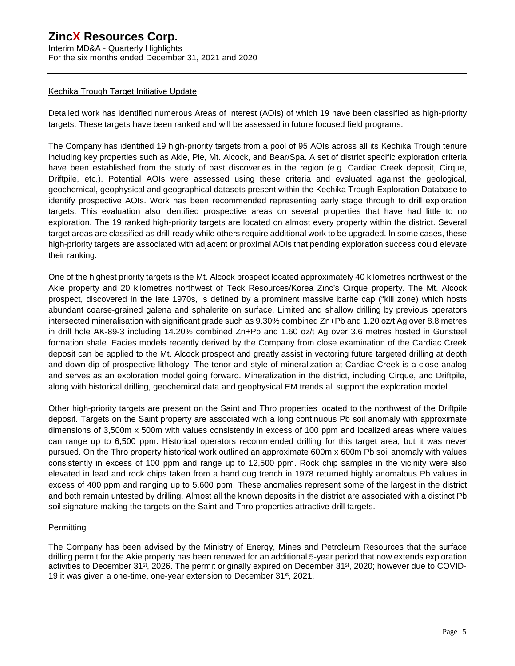Interim MD&A - Quarterly Highlights For the six months ended December 31, 2021 and 2020

#### Kechika Trough Target Initiative Update

Detailed work has identified numerous Areas of Interest (AOIs) of which 19 have been classified as high-priority targets. These targets have been ranked and will be assessed in future focused field programs.

The Company has identified 19 high-priority targets from a pool of 95 AOIs across all its Kechika Trough tenure including key properties such as Akie, Pie, Mt. Alcock, and Bear/Spa. A set of district specific exploration criteria have been established from the study of past discoveries in the region (e.g. Cardiac Creek deposit, Cirque, Driftpile, etc.). Potential AOIs were assessed using these criteria and evaluated against the geological, geochemical, geophysical and geographical datasets present within the Kechika Trough Exploration Database to identify prospective AOIs. Work has been recommended representing early stage through to drill exploration targets. This evaluation also identified prospective areas on several properties that have had little to no exploration. The 19 ranked high-priority targets are located on almost every property within the district. Several target areas are classified as drill-ready while others require additional work to be upgraded. In some cases, these high-priority targets are associated with adjacent or proximal AOIs that pending exploration success could elevate their ranking.

One of the highest priority targets is the Mt. Alcock prospect located approximately 40 kilometres northwest of the Akie property and 20 kilometres northwest of Teck Resources/Korea Zinc's Cirque property. The Mt. Alcock prospect, discovered in the late 1970s, is defined by a prominent massive barite cap ("kill zone) which hosts abundant coarse-grained galena and sphalerite on surface. Limited and shallow drilling by previous operators intersected mineralisation with significant grade such as 9.30% combined Zn+Pb and 1.20 oz/t Ag over 8.8 metres in drill hole AK-89-3 including 14.20% combined Zn+Pb and 1.60 oz/t Ag over 3.6 metres hosted in Gunsteel formation shale. Facies models recently derived by the Company from close examination of the Cardiac Creek deposit can be applied to the Mt. Alcock prospect and greatly assist in vectoring future targeted drilling at depth and down dip of prospective lithology. The tenor and style of mineralization at Cardiac Creek is a close analog and serves as an exploration model going forward. Mineralization in the district, including Cirque, and Driftpile, along with historical drilling, geochemical data and geophysical EM trends all support the exploration model.

Other high-priority targets are present on the Saint and Thro properties located to the northwest of the Driftpile deposit. Targets on the Saint property are associated with a long continuous Pb soil anomaly with approximate dimensions of 3,500m x 500m with values consistently in excess of 100 ppm and localized areas where values can range up to 6,500 ppm. Historical operators recommended drilling for this target area, but it was never pursued. On the Thro property historical work outlined an approximate 600m x 600m Pb soil anomaly with values consistently in excess of 100 ppm and range up to 12,500 ppm. Rock chip samples in the vicinity were also elevated in lead and rock chips taken from a hand dug trench in 1978 returned highly anomalous Pb values in excess of 400 ppm and ranging up to 5,600 ppm. These anomalies represent some of the largest in the district and both remain untested by drilling. Almost all the known deposits in the district are associated with a distinct Pb soil signature making the targets on the Saint and Thro properties attractive drill targets.

#### **Permitting**

The Company has been advised by the Ministry of Energy, Mines and Petroleum Resources that the surface drilling permit for the Akie property has been renewed for an additional 5-year period that now extends exploration activities to December 31<sup>st</sup>, 2026. The permit originally expired on December 31<sup>st</sup>, 2020; however due to COVID-19 it was given a one-time, one-year extension to December 31st, 2021.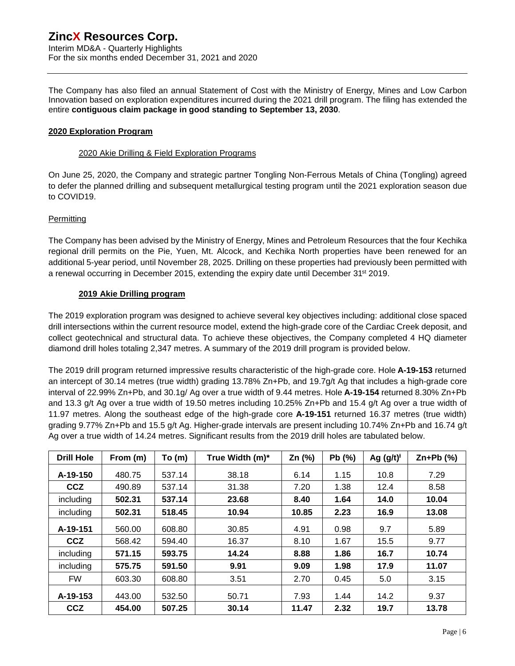Interim MD&A - Quarterly Highlights For the six months ended December 31, 2021 and 2020

The Company has also filed an annual Statement of Cost with the Ministry of Energy, Mines and Low Carbon Innovation based on exploration expenditures incurred during the 2021 drill program. The filing has extended the entire **contiguous claim package in good standing to September 13, 2030**.

#### **2020 Exploration Program**

#### 2020 Akie Drilling & Field Exploration Programs

On June 25, 2020, the Company and strategic partner Tongling Non-Ferrous Metals of China (Tongling) agreed to defer the planned drilling and subsequent metallurgical testing program until the 2021 exploration season due to COVID19.

### **Permitting**

The Company has been advised by the Ministry of Energy, Mines and Petroleum Resources that the four Kechika regional drill permits on the Pie, Yuen, Mt. Alcock, and Kechika North properties have been renewed for an additional 5-year period, until November 28, 2025. Drilling on these properties had previously been permitted with a renewal occurring in December 2015, extending the expiry date until December 31<sup>st</sup> 2019.

### **2019 Akie Drilling program**

The 2019 exploration program was designed to achieve several key objectives including: additional close spaced drill intersections within the current resource model, extend the high-grade core of the Cardiac Creek deposit, and collect geotechnical and structural data. To achieve these objectives, the Company completed 4 HQ diameter diamond drill holes totaling 2,347 metres. A summary of the 2019 drill program is provided below.

The 2019 drill program returned impressive results characteristic of the high-grade core. Hole **A-19-153** returned an intercept of 30.14 metres (true width) grading 13.78% Zn+Pb, and 19.7g/t Ag that includes a high-grade core interval of 22.99% Zn+Pb, and 30.1g/ Ag over a true width of 9.44 metres. Hole **A-19-154** returned 8.30% Zn+Pb and 13.3 g/t Ag over a true width of 19.50 metres including 10.25% Zn+Pb and 15.4 g/t Ag over a true width of 11.97 metres. Along the southeast edge of the high-grade core **A-19-151** returned 16.37 metres (true width) grading 9.77% Zn+Pb and 15.5 g/t Ag. Higher-grade intervals are present including 10.74% Zn+Pb and 16.74 g/t Ag over a true width of 14.24 metres. Significant results from the 2019 drill holes are tabulated below.

| <b>Drill Hole</b> | From (m) | To(m)  | True Width (m)* | Zn $(%)$ | Pb(%) | Ag $(g/t)^{t}$ | $Zn+Pb$ (%) |
|-------------------|----------|--------|-----------------|----------|-------|----------------|-------------|
| A-19-150          | 480.75   | 537.14 | 38.18           | 6.14     | 1.15  | 10.8           | 7.29        |
| <b>CCZ</b>        | 490.89   | 537.14 | 31.38           | 7.20     | 1.38  | 12.4           | 8.58        |
| including         | 502.31   | 537.14 | 23.68           | 8.40     | 1.64  | 14.0           | 10.04       |
| including         | 502.31   | 518.45 | 10.94           | 10.85    | 2.23  | 16.9           | 13.08       |
| A-19-151          | 560.00   | 608.80 | 30.85           | 4.91     | 0.98  | 9.7            | 5.89        |
| <b>CCZ</b>        | 568.42   | 594.40 | 16.37           | 8.10     | 1.67  | 15.5           | 9.77        |
| including         | 571.15   | 593.75 | 14.24           | 8.88     | 1.86  | 16.7           | 10.74       |
| including         | 575.75   | 591.50 | 9.91            | 9.09     | 1.98  | 17.9           | 11.07       |
| <b>FW</b>         | 603.30   | 608.80 | 3.51            | 2.70     | 0.45  | 5.0            | 3.15        |
| A-19-153          | 443.00   | 532.50 | 50.71           | 7.93     | 1.44  | 14.2           | 9.37        |
| <b>CCZ</b>        | 454.00   | 507.25 | 30.14           | 11.47    | 2.32  | 19.7           | 13.78       |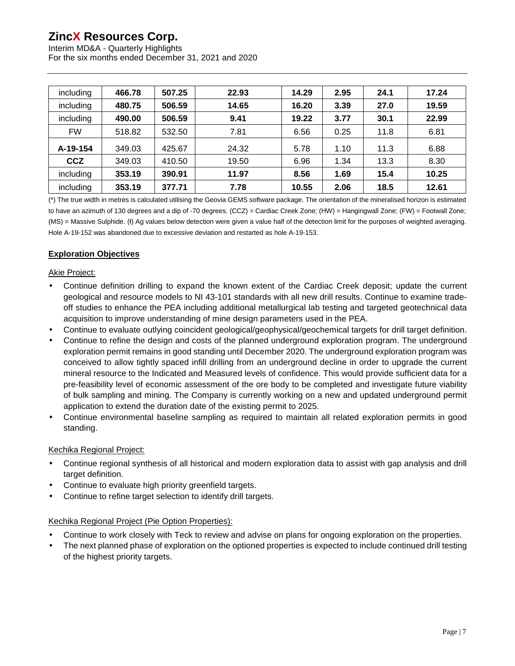Interim MD&A - Quarterly Highlights For the six months ended December 31, 2021 and 2020

| including  | 466.78 | 507.25 | 22.93 | 14.29 | 2.95 | 24.1 | 17.24 |
|------------|--------|--------|-------|-------|------|------|-------|
| including  | 480.75 | 506.59 | 14.65 | 16.20 | 3.39 | 27.0 | 19.59 |
| including  | 490.00 | 506.59 | 9.41  | 19.22 | 3.77 | 30.1 | 22.99 |
| <b>FW</b>  | 518.82 | 532.50 | 7.81  | 6.56  | 0.25 | 11.8 | 6.81  |
| A-19-154   | 349.03 | 425.67 | 24.32 | 5.78  | 1.10 | 11.3 | 6.88  |
| <b>CCZ</b> | 349.03 | 410.50 | 19.50 | 6.96  | 1.34 | 13.3 | 8.30  |
| including  | 353.19 | 390.91 | 11.97 | 8.56  | 1.69 | 15.4 | 10.25 |
| including  | 353.19 | 377.71 | 7.78  | 10.55 | 2.06 | 18.5 | 12.61 |

(\*) The true width in metres is calculated utilising the Geovia GEMS software package. The orientation of the mineralised horizon is estimated to have an azimuth of 130 degrees and a dip of -70 degrees. (CCZ) = Cardiac Creek Zone; (HW) = Hangingwall Zone; (FW) = Footwall Zone; (MS) = Massive Sulphide. (I) Ag values below detection were given a value half of the detection limit for the purposes of weighted averaging. Hole A-19-152 was abandoned due to excessive deviation and restarted as hole A-19-153.

# **Exploration Objectives**

#### Akie Project:

- Continue definition drilling to expand the known extent of the Cardiac Creek deposit; update the current geological and resource models to NI 43-101 standards with all new drill results. Continue to examine tradeoff studies to enhance the PEA including additional metallurgical lab testing and targeted geotechnical data acquisition to improve understanding of mine design parameters used in the PEA.
- Continue to evaluate outlying coincident geological/geophysical/geochemical targets for drill target definition.
- Continue to refine the design and costs of the planned underground exploration program. The underground exploration permit remains in good standing until December 2020. The underground exploration program was conceived to allow tightly spaced infill drilling from an underground decline in order to upgrade the current mineral resource to the Indicated and Measured levels of confidence. This would provide sufficient data for a pre-feasibility level of economic assessment of the ore body to be completed and investigate future viability of bulk sampling and mining. The Company is currently working on a new and updated underground permit application to extend the duration date of the existing permit to 2025.
- Continue environmental baseline sampling as required to maintain all related exploration permits in good standing.

#### Kechika Regional Project:

- Continue regional synthesis of all historical and modern exploration data to assist with gap analysis and drill target definition.
- Continue to evaluate high priority greenfield targets.
- Continue to refine target selection to identify drill targets.

#### Kechika Regional Project (Pie Option Properties):

- Continue to work closely with Teck to review and advise on plans for ongoing exploration on the properties.
- The next planned phase of exploration on the optioned properties is expected to include continued drill testing of the highest priority targets.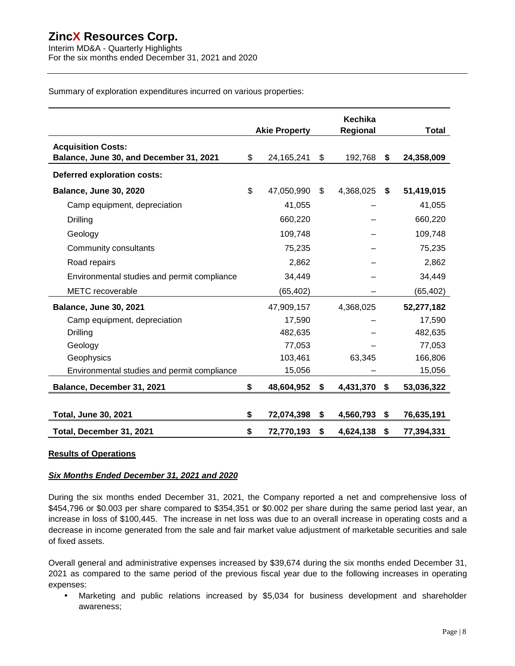Interim MD&A - Quarterly Highlights For the six months ended December 31, 2021 and 2020

Summary of exploration expenditures incurred on various properties:

|                                                                      | <b>Akie Property</b> |    | Kechika<br>Regional |    | Total      |
|----------------------------------------------------------------------|----------------------|----|---------------------|----|------------|
| <b>Acquisition Costs:</b><br>Balance, June 30, and December 31, 2021 | \$<br>24,165,241     | \$ | 192,768             | S  | 24,358,009 |
| Deferred exploration costs:                                          |                      |    |                     |    |            |
| <b>Balance, June 30, 2020</b>                                        | \$<br>47,050,990     | \$ | 4,368,025           | S. | 51,419,015 |
| Camp equipment, depreciation                                         | 41,055               |    |                     |    | 41,055     |
| Drilling                                                             | 660,220              |    |                     |    | 660,220    |
| Geology                                                              | 109,748              |    |                     |    | 109,748    |
| Community consultants                                                | 75,235               |    |                     |    | 75,235     |
| Road repairs                                                         | 2,862                |    |                     |    | 2,862      |
| Environmental studies and permit compliance                          | 34,449               |    |                     |    | 34,449     |
| <b>METC</b> recoverable                                              | (65, 402)            |    |                     |    | (65, 402)  |
| <b>Balance, June 30, 2021</b>                                        | 47,909,157           |    | 4,368,025           |    | 52,277,182 |
| Camp equipment, depreciation                                         | 17,590               |    |                     |    | 17,590     |
| Drilling                                                             | 482,635              |    |                     |    | 482,635    |
| Geology                                                              | 77,053               |    |                     |    | 77,053     |
| Geophysics                                                           | 103,461              |    | 63,345              |    | 166,806    |
| Environmental studies and permit compliance                          | 15,056               |    |                     |    | 15,056     |
| Balance, December 31, 2021                                           | \$<br>48,604,952     | S. | 4,431,370           | \$ | 53,036,322 |
|                                                                      |                      |    |                     |    |            |
| <b>Total, June 30, 2021</b>                                          | \$<br>72,074,398     | \$ | 4,560,793           | \$ | 76,635,191 |
| Total, December 31, 2021                                             | \$<br>72,770,193     | \$ | 4,624,138           | \$ | 77,394,331 |

#### **Results of Operations**

#### *Six Months Ended December 31, 2021 and 2020*

During the six months ended December 31, 2021, the Company reported a net and comprehensive loss of \$454,796 or \$0.003 per share compared to \$354,351 or \$0.002 per share during the same period last year, an increase in loss of \$100,445. The increase in net loss was due to an overall increase in operating costs and a decrease in income generated from the sale and fair market value adjustment of marketable securities and sale of fixed assets.

Overall general and administrative expenses increased by \$39,674 during the six months ended December 31, 2021 as compared to the same period of the previous fiscal year due to the following increases in operating expenses:

Marketing and public relations increased by \$5,034 for business development and shareholder  $\sim$ awareness;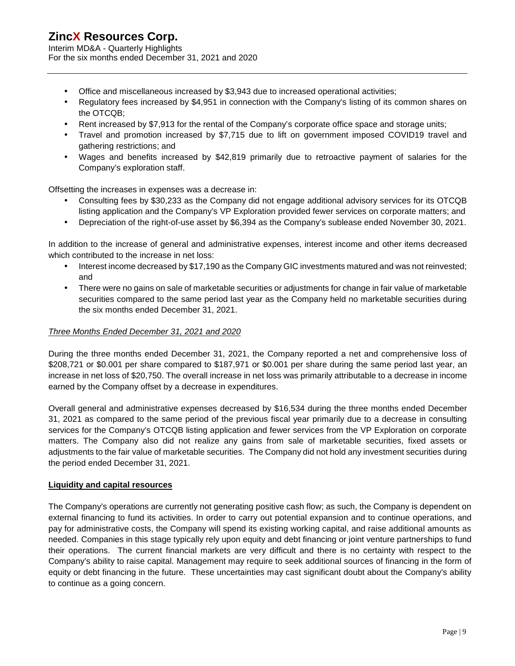Interim MD&A - Quarterly Highlights For the six months ended December 31, 2021 and 2020

- Office and miscellaneous increased by \$3,943 due to increased operational activities;
- Regulatory fees increased by \$4,951 in connection with the Company's listing of its common shares on ¥. the OTCQB;
- Rent increased by \$7,913 for the rental of the Company's corporate office space and storage units;
- Travel and promotion increased by \$7,715 due to lift on government imposed COVID19 travel and gathering restrictions; and
- Wages and benefits increased by \$42,819 primarily due to retroactive payment of salaries for the ¥. Company's exploration staff.

Offsetting the increases in expenses was a decrease in:

- Consulting fees by \$30,233 as the Company did not engage additional advisory services for its OTCQB listing application and the Company's VP Exploration provided fewer services on corporate matters; and
- Depreciation of the right-of-use asset by \$6,394 as the Company's sublease ended November 30, 2021. ¥.

In addition to the increase of general and administrative expenses, interest income and other items decreased which contributed to the increase in net loss:

- Interest income decreased by \$17,190 as the Company GIC investments matured and was not reinvested; and
- $\mathcal{L}^{\text{max}}$ There were no gains on sale of marketable securities or adjustments for change in fair value of marketable securities compared to the same period last year as the Company held no marketable securities during the six months ended December 31, 2021.

### *Three Months Ended December 31, 2021 and 2020*

During the three months ended December 31, 2021, the Company reported a net and comprehensive loss of \$208,721 or \$0.001 per share compared to \$187,971 or \$0.001 per share during the same period last year, an increase in net loss of \$20,750. The overall increase in net loss was primarily attributable to a decrease in income earned by the Company offset by a decrease in expenditures.

Overall general and administrative expenses decreased by \$16,534 during the three months ended December 31, 2021 as compared to the same period of the previous fiscal year primarily due to a decrease in consulting services for the Company's OTCQB listing application and fewer services from the VP Exploration on corporate matters. The Company also did not realize any gains from sale of marketable securities, fixed assets or adjustments to the fair value of marketable securities. The Company did not hold any investment securities during the period ended December 31, 2021.

#### **Liquidity and capital resources**

The Company's operations are currently not generating positive cash flow; as such, the Company is dependent on external financing to fund its activities. In order to carry out potential expansion and to continue operations, and pay for administrative costs, the Company will spend its existing working capital, and raise additional amounts as needed. Companies in this stage typically rely upon equity and debt financing or joint venture partnerships to fund their operations. The current financial markets are very difficult and there is no certainty with respect to the Company's ability to raise capital. Management may require to seek additional sources of financing in the form of equity or debt financing in the future. These uncertainties may cast significant doubt about the Company's ability to continue as a going concern.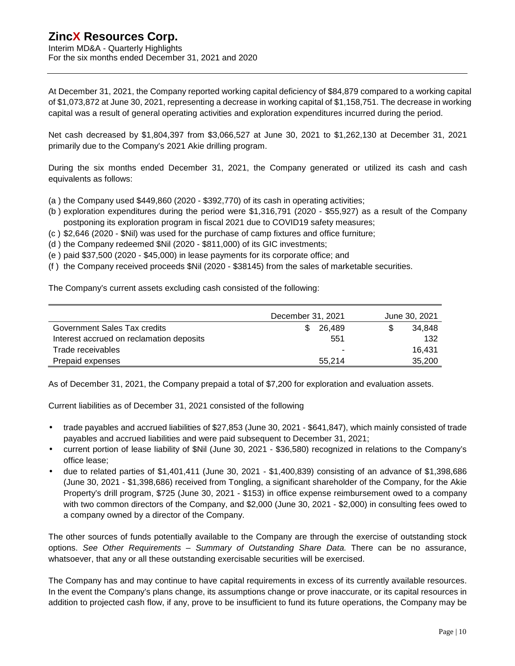Interim MD&A - Quarterly Highlights For the six months ended December 31, 2021 and 2020

At December 31, 2021, the Company reported working capital deficiency of \$84,879 compared to a working capital of \$1,073,872 at June 30, 2021, representing a decrease in working capital of \$1,158,751. The decrease in working capital was a result of general operating activities and exploration expenditures incurred during the period.

Net cash decreased by \$1,804,397 from \$3,066,527 at June 30, 2021 to \$1,262,130 at December 31, 2021 primarily due to the Company's 2021 Akie drilling program.

During the six months ended December 31, 2021, the Company generated or utilized its cash and cash equivalents as follows:

- (a ) the Company used \$449,860 (2020 \$392,770) of its cash in operating activities;
- (b ) exploration expenditures during the period were \$1,316,791 (2020 \$55,927) as a result of the Company postponing its exploration program in fiscal 2021 due to COVID19 safety measures;
- (c ) \$2,646 (2020 \$Nil) was used for the purchase of camp fixtures and office furniture;
- (d ) the Company redeemed \$Nil (2020 \$811,000) of its GIC investments;
- (e ) paid \$37,500 (2020 \$45,000) in lease payments for its corporate office; and
- (f ) the Company received proceeds \$Nil (2020 \$38145) from the sales of marketable securities.

The Company's current assets excluding cash consisted of the following:

|                                          | December 31, 2021 | June 30, 2021 |
|------------------------------------------|-------------------|---------------|
| Government Sales Tax credits             | 26,489            | 34.848        |
| Interest accrued on reclamation deposits | 551               | 132           |
| Trade receivables                        |                   | 16.431        |
| Prepaid expenses                         | 55.214            | 35,200        |

As of December 31, 2021, the Company prepaid a total of \$7,200 for exploration and evaluation assets.

Current liabilities as of December 31, 2021 consisted of the following

- trade payables and accrued liabilities of \$27,853 (June 30, 2021 \$641,847), which mainly consisted of trade  $\mathcal{L}_{\mathcal{A}}$ payables and accrued liabilities and were paid subsequent to December 31, 2021;
- current portion of lease liability of \$Nil (June 30, 2021 \$36,580) recognized in relations to the Company's office lease;
- due to related parties of \$1,401,411 (June 30, 2021 \$1,400,839) consisting of an advance of \$1,398,686 (June 30, 2021 - \$1,398,686) received from Tongling, a significant shareholder of the Company, for the Akie Property's drill program, \$725 (June 30, 2021 - \$153) in office expense reimbursement owed to a company with two common directors of the Company, and \$2,000 (June 30, 2021 - \$2,000) in consulting fees owed to a company owned by a director of the Company.

The other sources of funds potentially available to the Company are through the exercise of outstanding stock options. *See Other Requirements – Summary of Outstanding Share Data*. There can be no assurance, whatsoever, that any or all these outstanding exercisable securities will be exercised.

The Company has and may continue to have capital requirements in excess of its currently available resources. In the event the Company's plans change, its assumptions change or prove inaccurate, or its capital resources in addition to projected cash flow, if any, prove to be insufficient to fund its future operations, the Company may be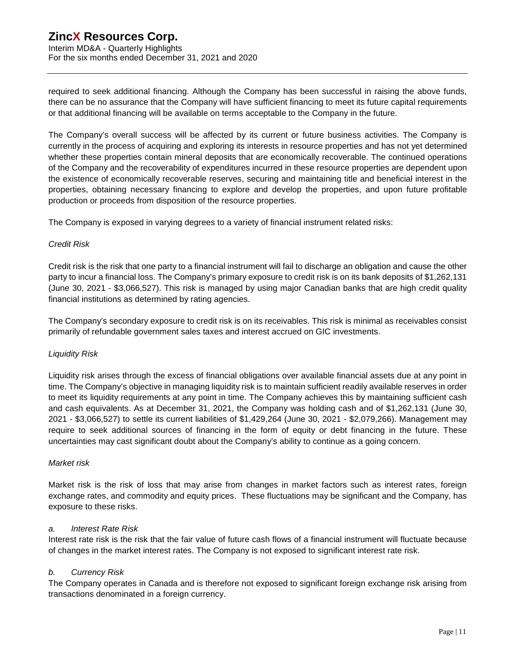Interim MD&A - Quarterly Highlights For the six months ended December 31, 2021 and 2020

required to seek additional financing. Although the Company has been successful in raising the above funds, there can be no assurance that the Company will have sufficient financing to meet its future capital requirements or that additional financing will be available on terms acceptable to the Company in the future.

The Company's overall success will be affected by its current or future business activities. The Company is currently in the process of acquiring and exploring its interests in resource properties and has not yet determined whether these properties contain mineral deposits that are economically recoverable. The continued operations of the Company and the recoverability of expenditures incurred in these resource properties are dependent upon the existence of economically recoverable reserves, securing and maintaining title and beneficial interest in the properties, obtaining necessary financing to explore and develop the properties, and upon future profitable production or proceeds from disposition of the resource properties.

The Company is exposed in varying degrees to a variety of financial instrument related risks:

#### *Credit Risk*

Credit risk is the risk that one party to a financial instrument will fail to discharge an obligation and cause the other party to incur a financial loss. The Company's primary exposure to credit risk is on its bank deposits of \$1,262,131 (June 30, 2021 - \$3,066,527). This risk is managed by using major Canadian banks that are high credit quality financial institutions as determined by rating agencies.

The Company's secondary exposure to credit risk is on its receivables. This risk is minimal as receivables consist primarily of refundable government sales taxes and interest accrued on GIC investments.

#### *Liquidity Risk*

Liquidity risk arises through the excess of financial obligations over available financial assets due at any point in time. The Company's objective in managing liquidity risk is to maintain sufficient readily available reserves in order to meet its liquidity requirements at any point in time. The Company achieves this by maintaining sufficient cash and cash equivalents. As at December 31, 2021, the Company was holding cash and of \$1,262,131 (June 30, 2021 - \$3,066,527) to settle its current liabilities of \$1,429,264 (June 30, 2021 - \$2,079,266). Management may require to seek additional sources of financing in the form of equity or debt financing in the future. These uncertainties may cast significant doubt about the Company's ability to continue as a going concern.

#### *Market risk*

Market risk is the risk of loss that may arise from changes in market factors such as interest rates, foreign exchange rates, and commodity and equity prices. These fluctuations may be significant and the Company, has exposure to these risks.

#### *a. Interest Rate Risk*

Interest rate risk is the risk that the fair value of future cash flows of a financial instrument will fluctuate because of changes in the market interest rates. The Company is not exposed to significant interest rate risk.

#### *b. Currency Risk*

The Company operates in Canada and is therefore not exposed to significant foreign exchange risk arising from transactions denominated in a foreign currency.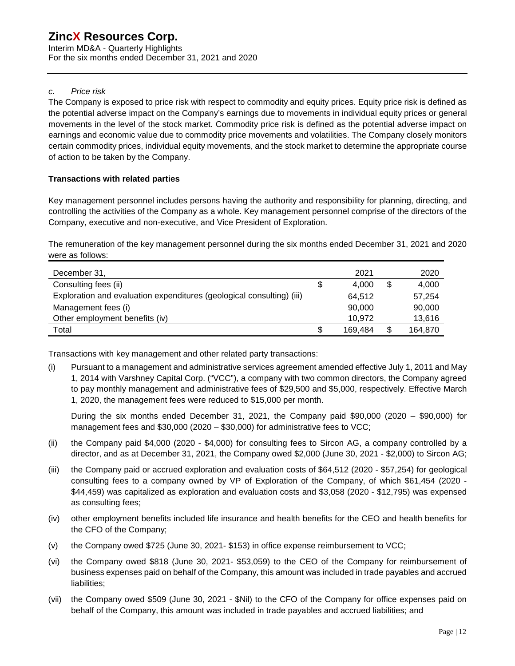Interim MD&A - Quarterly Highlights For the six months ended December 31, 2021 and 2020

#### *c. Price risk*

The Company is exposed to price risk with respect to commodity and equity prices. Equity price risk is defined as the potential adverse impact on the Company's earnings due to movements in individual equity prices or general movements in the level of the stock market. Commodity price risk is defined as the potential adverse impact on earnings and economic value due to commodity price movements and volatilities. The Company closely monitors certain commodity prices, individual equity movements, and the stock market to determine the appropriate course of action to be taken by the Company.

### **Transactions with related parties**

Key management personnel includes persons having the authority and responsibility for planning, directing, and controlling the activities of the Company as a whole. Key management personnel comprise of the directors of the Company, executive and non-executive, and Vice President of Exploration.

The remuneration of the key management personnel during the six months ended December 31, 2021 and 2020 were as follows:

| December 31,                                                          | 2021    | 2020          |
|-----------------------------------------------------------------------|---------|---------------|
| Consulting fees (ii)                                                  | 4.000   | \$<br>4,000   |
| Exploration and evaluation expenditures (geological consulting) (iii) | 64.512  | 57.254        |
| Management fees (i)                                                   | 90,000  | 90,000        |
| Other employment benefits (iv)                                        | 10.972  | 13,616        |
| Total                                                                 | 169.484 | \$<br>164,870 |

Transactions with key management and other related party transactions:

(i) Pursuant to a management and administrative services agreement amended effective July 1, 2011 and May 1, 2014 with Varshney Capital Corp. ("VCC"), a company with two common directors, the Company agreed to pay monthly management and administrative fees of \$29,500 and \$5,000, respectively. Effective March 1, 2020, the management fees were reduced to \$15,000 per month.

During the six months ended December 31, 2021, the Company paid  $$90,000$  (2020 – \$90,000) for management fees and \$30,000 (2020 – \$30,000) for administrative fees to VCC;

- (ii) the Company paid \$4,000 (2020 \$4,000) for consulting fees to Sircon AG, a company controlled by a director, and as at December 31, 2021, the Company owed \$2,000 (June 30, 2021 - \$2,000) to Sircon AG;
- (iii) the Company paid or accrued exploration and evaluation costs of \$64,512 (2020 \$57,254) for geological consulting fees to a company owned by VP of Exploration of the Company, of which \$61,454 (2020 - \$44,459) was capitalized as exploration and evaluation costs and \$3,058 (2020 - \$12,795) was expensed as consulting fees;
- (iv) other employment benefits included life insurance and health benefits for the CEO and health benefits for the CFO of the Company;
- (v) the Company owed \$725 (June 30, 2021- \$153) in office expense reimbursement to VCC;
- (vi) the Company owed \$818 (June 30, 2021- \$53,059) to the CEO of the Company for reimbursement of business expenses paid on behalf of the Company, this amount was included in trade payables and accrued liabilities;
- (vii) the Company owed \$509 (June 30, 2021 \$Nil) to the CFO of the Company for office expenses paid on behalf of the Company, this amount was included in trade payables and accrued liabilities; and